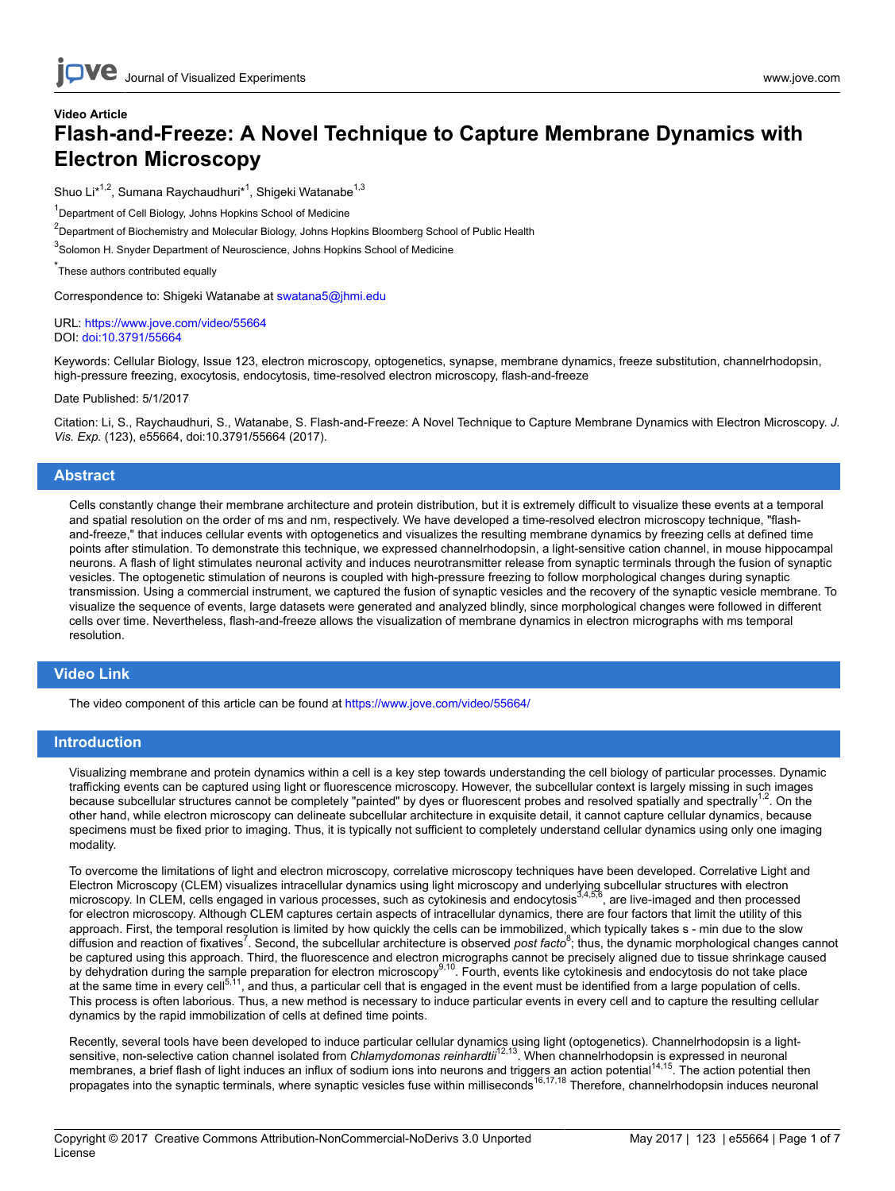# **Video Article Flash-and-Freeze: A Novel Technique to Capture Membrane Dynamics with Electron Microscopy**

Shuo Li<sup>\*1,2</sup>, Sumana Raychaudhuri<sup>\*1</sup>, Shigeki Watanabe<sup>1,3</sup>

<sup>1</sup>Department of Cell Biology, Johns Hopkins School of Medicine

 $^2$ Department of Biochemistry and Molecular Biology, Johns Hopkins Bloomberg School of Public Health

<sup>3</sup>Solomon H. Snyder Department of Neuroscience, Johns Hopkins School of Medicine

\* These authors contributed equally

Correspondence to: Shigeki Watanabe at [swatana5@jhmi.edu](mailto:swatana5@jhmi.edu)

URL:<https://www.jove.com/video/55664> DOI: [doi:10.3791/55664](http://dx.doi.org/10.3791/55664)

Keywords: Cellular Biology, Issue 123, electron microscopy, optogenetics, synapse, membrane dynamics, freeze substitution, channelrhodopsin, high-pressure freezing, exocytosis, endocytosis, time-resolved electron microscopy, flash-and-freeze

Date Published: 5/1/2017

Citation: Li, S., Raychaudhuri, S., Watanabe, S. Flash-and-Freeze: A Novel Technique to Capture Membrane Dynamics with Electron Microscopy. *J. Vis. Exp.* (123), e55664, doi:10.3791/55664 (2017).

#### **Abstract**

Cells constantly change their membrane architecture and protein distribution, but it is extremely difficult to visualize these events at a temporal and spatial resolution on the order of ms and nm, respectively. We have developed a time-resolved electron microscopy technique, "flashand-freeze," that induces cellular events with optogenetics and visualizes the resulting membrane dynamics by freezing cells at defined time points after stimulation. To demonstrate this technique, we expressed channelrhodopsin, a light-sensitive cation channel, in mouse hippocampal neurons. A flash of light stimulates neuronal activity and induces neurotransmitter release from synaptic terminals through the fusion of synaptic vesicles. The optogenetic stimulation of neurons is coupled with high-pressure freezing to follow morphological changes during synaptic transmission. Using a commercial instrument, we captured the fusion of synaptic vesicles and the recovery of the synaptic vesicle membrane. To visualize the sequence of events, large datasets were generated and analyzed blindly, since morphological changes were followed in different cells over time. Nevertheless, flash-and-freeze allows the visualization of membrane dynamics in electron micrographs with ms temporal resolution.

#### **Video Link**

The video component of this article can be found at <https://www.jove.com/video/55664/>

### **Introduction**

Visualizing membrane and protein dynamics within a cell is a key step towards understanding the cell biology of particular processes. Dynamic trafficking events can be captured using light or fluorescence microscopy. However, the subcellular context is largely missing in such images because subcellular structures cannot be completely "painted" by dyes or fluorescent probes and resolved spatially and spectrally<sup>1,2</sup>. On the other hand, while electron microscopy can delineate subcellular architecture in exquisite detail, it cannot capture cellular dynamics, because specimens must be fixed prior to imaging. Thus, it is typically not sufficient to completely understand cellular dynamics using only one imaging modality.

To overcome the limitations of light and electron microscopy, correlative microscopy techniques have been developed. Correlative Light and Electron Microscopy (CLEM) visualizes intracellular dynamics using light microscopy and underlying subcellular structures with electron microscopy. In CLEM, cells engaged in various processes, such as cytokinesis and endocytosis<sup>3,4,56</sup>, are live-imaged and then processed for electron microscopy. Although CLEM captures certain aspects of intracellular dynamics, there are four factors that limit the utility of this approach. First, the temporal resolution is limited by how quickly the cells can be immobilized, which typically takes s - min due to the slow diffusion and reaction of fixatives<sup>7</sup>. Second, the subcellular architecture is observed *post facto*<sup>8</sup>; thus, the dynamic morphological changes cannot be captured using this approach. Third, the fluorescence and electron micrographs cannot be precisely aligned due to tissue shrinkage caused<br>by dehydration during the sample preparation for electron microscopy<sup>9,10</sup>. Fourt at the same time in every cell<sup>5,11</sup>, and thus, a particular cell that is engaged in the event must be identified from a large population of cells. This process is often laborious. Thus, a new method is necessary to induce particular events in every cell and to capture the resulting cellular dynamics by the rapid immobilization of cells at defined time points.

Recently, several tools have been developed to induce particular cellular dynamics using light (optogenetics). Channelrhodopsin is a light-<br>sensitive, non-selective cation channel isolated from *Chlamydomonas reinhardtii<sup>1*</sup> membranes, a brief flash of light induces an influx of sodium ions into neurons and triggers an action potential<sup>14,15</sup>. The action potential then propagates into the synaptic terminals, where synaptic vesicles fuse within milliseconds<sup>16,17,18</sup> Therefore, channelrhodopsin induces neuronal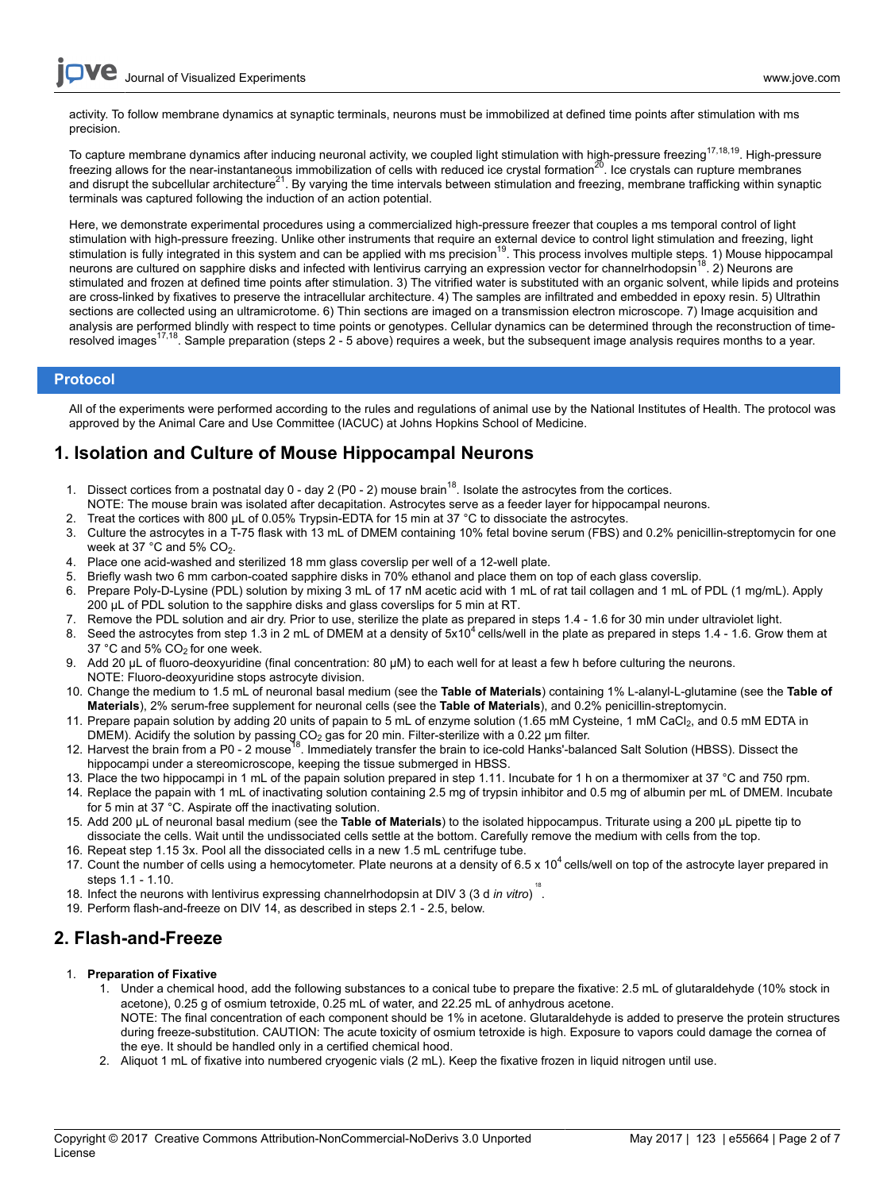activity. To follow membrane dynamics at synaptic terminals, neurons must be immobilized at defined time points after stimulation with ms precision.

To capture membrane dynamics after inducing neuronal activity, we coupled light stimulation with high-pressure freezing<sup>17,18,19</sup>. High-pressure freezing allows for the near-instantaneous immobilization of cells with reduced ice crystal formation<sup>20</sup>. Ice crystals can rupture membranes and disrupt the subcellular architecture<sup>21</sup>. By varying the time intervals between stimulation and freezing, membrane trafficking within synaptic terminals was captured following the induction of an action potential.

Here, we demonstrate experimental procedures using a commercialized high-pressure freezer that couples a ms temporal control of light stimulation with high-pressure freezing. Unlike other instruments that require an external device to control light stimulation and freezing, light stimulation is fully integrated in this system and can be applied with ms precision<sup>19</sup>. This process involves multiple steps. 1) Mouse hippocampal neurons are cultured on sapphire disks and infected with lentivirus carrying an expression vector for channelrhodopsin<sup>18</sup>. 2) Neurons are stimulated and frozen at defined time points after stimulation. 3) The vitrified water is substituted with an organic solvent, while lipids and proteins are cross-linked by fixatives to preserve the intracellular architecture. 4) The samples are infiltrated and embedded in epoxy resin. 5) Ultrathin sections are collected using an ultramicrotome. 6) Thin sections are imaged on a transmission electron microscope. 7) Image acquisition and analysis are performed blindly with respect to time points or genotypes. Cellular dynamics can be determined through the reconstruction of timeresolved images<sup>17,18</sup>. Sample preparation (steps 2 - 5 above) requires a week, but the subsequent image analysis requires months to a year.

### **Protocol**

All of the experiments were performed according to the rules and regulations of animal use by the National Institutes of Health. The protocol was approved by the Animal Care and Use Committee (IACUC) at Johns Hopkins School of Medicine.

## **1. Isolation and Culture of Mouse Hippocampal Neurons**

- 1. Dissect cortices from a postnatal day  $0 day 2$  (P0 2) mouse brain<sup>18</sup>. Isolate the astrocytes from the cortices. NOTE: The mouse brain was isolated after decapitation. Astrocytes serve as a feeder layer for hippocampal neurons.
- 2. Treat the cortices with 800 µL of 0.05% Trypsin-EDTA for 15 min at 37 °C to dissociate the astrocytes.
- 3. Culture the astrocytes in a T-75 flask with 13 mL of DMEM containing 10% fetal bovine serum (FBS) and 0.2% penicillin-streptomycin for one week at 37  $^{\circ}$ C and 5% CO<sub>2</sub>.
- 4. Place one acid-washed and sterilized 18 mm glass coverslip per well of a 12-well plate.
- 5. Briefly wash two 6 mm carbon-coated sapphire disks in 70% ethanol and place them on top of each glass coverslip.
- 6. Prepare Poly-D-Lysine (PDL) solution by mixing 3 mL of 17 nM acetic acid with 1 mL of rat tail collagen and 1 mL of PDL (1 mg/mL). Apply 200 µL of PDL solution to the sapphire disks and glass coverslips for 5 min at RT.
- 7. Remove the PDL solution and air dry. Prior to use, sterilize the plate as prepared in steps 1.4 1.6 for 30 min under ultraviolet light.
- 8. Seed the astrocytes from step 1.3 in 2 mL of DMEM at a density of 5x10<sup>4</sup> cells/well in the plate as prepared in steps 1.4 1.6. Grow them at 37  $^{\circ}$ C and 5% CO<sub>2</sub> for one week.
- 9. Add 20 µL of fluoro-deoxyuridine (final concentration: 80 µM) to each well for at least a few h before culturing the neurons. NOTE: Fluoro-deoxyuridine stops astrocyte division.
- 10. Change the medium to 1.5 mL of neuronal basal medium (see the **Table of Materials**) containing 1% L-alanyl-L-glutamine (see the **Table of Materials**), 2% serum-free supplement for neuronal cells (see the **Table of Materials**), and 0.2% penicillin-streptomycin.
- 11. Prepare papain solution by adding 20 units of papain to 5 mL of enzyme solution (1.65 mM Cysteine, 1 mM CaCl<sub>2</sub>, and 0.5 mM EDTA in DMEM). Acidify the solution by passing  $CO<sub>2</sub>$  gas for 20 min. Filter-sterilize with a 0.22 µm filter.
- 12. Harvest the brain from a P0 2 mouse<sup>18</sup>. Immediately transfer the brain to ice-cold Hanks'-balanced Salt Solution (HBSS). Dissect the hippocampi under a stereomicroscope, keeping the tissue submerged in HBSS.
- 13. Place the two hippocampi in 1 mL of the papain solution prepared in step 1.11. Incubate for 1 h on a thermomixer at 37 °C and 750 rpm.
- 14. Replace the papain with 1 mL of inactivating solution containing 2.5 mg of trypsin inhibitor and 0.5 mg of albumin per mL of DMEM. Incubate for 5 min at 37 °C. Aspirate off the inactivating solution.
- 15. Add 200 µL of neuronal basal medium (see the **Table of Materials**) to the isolated hippocampus. Triturate using a 200 µL pipette tip to dissociate the cells. Wait until the undissociated cells settle at the bottom. Carefully remove the medium with cells from the top.
- 16. Repeat step 1.15 3x. Pool all the dissociated cells in a new 1.5 mL centrifuge tube.
- 17. Count the number of cells using a hemocytometer. Plate neurons at a density of 6.5 x 10<sup>4</sup> cells/well on top of the astrocyte layer prepared in steps 1.1 - 1.10.
- 18. Infect the neurons with lentivirus expressing channelrhodopsin at DIV 3 (3 d *in vitro*) 18 .
- 19. Perform flash-and-freeze on DIV 14, as described in steps 2.1 2.5, below.

## **2. Flash-and-Freeze**

- 1. **Preparation of Fixative**
	- 1. Under a chemical hood, add the following substances to a conical tube to prepare the fixative: 2.5 mL of glutaraldehyde (10% stock in acetone), 0.25 g of osmium tetroxide, 0.25 mL of water, and 22.25 mL of anhydrous acetone. NOTE: The final concentration of each component should be 1% in acetone. Glutaraldehyde is added to preserve the protein structures during freeze-substitution. CAUTION: The acute toxicity of osmium tetroxide is high. Exposure to vapors could damage the cornea of the eye. It should be handled only in a certified chemical hood.
	- 2. Aliquot 1 mL of fixative into numbered cryogenic vials (2 mL). Keep the fixative frozen in liquid nitrogen until use.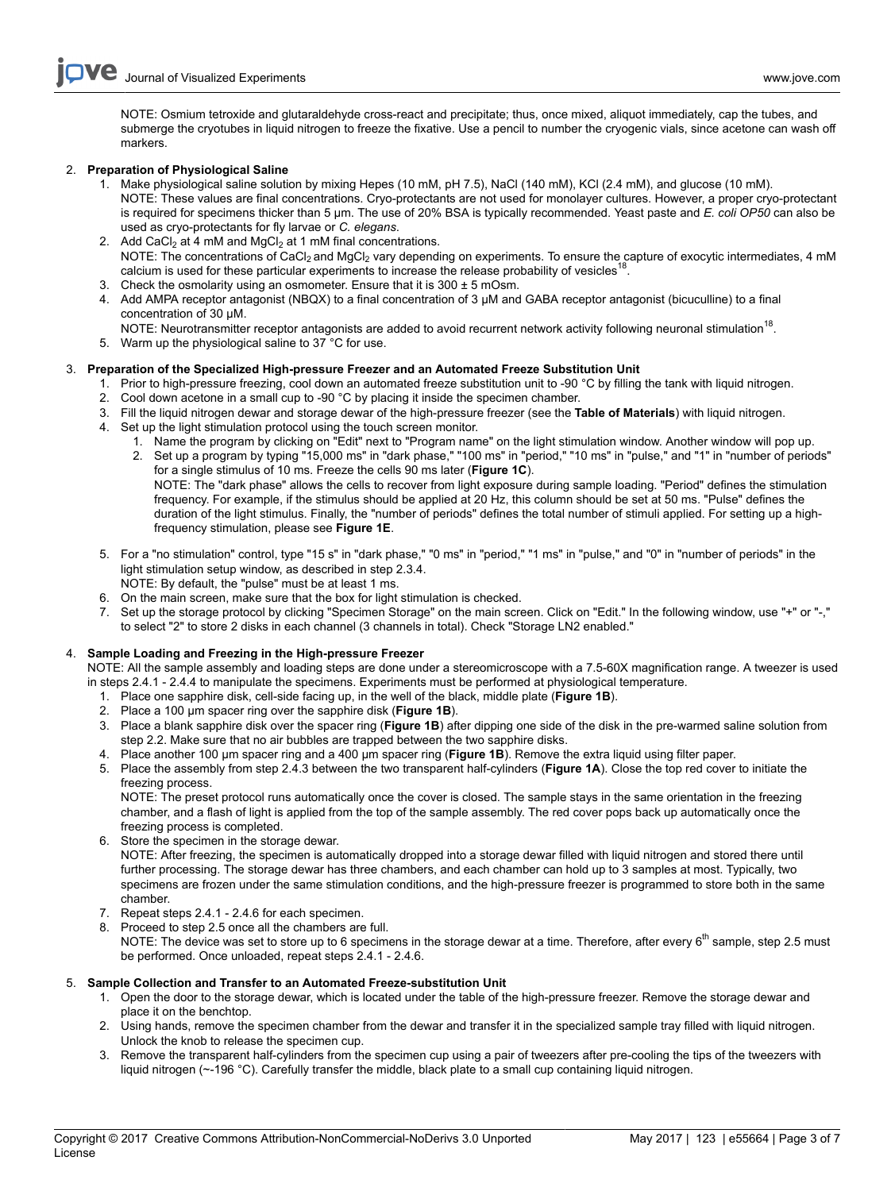NOTE: Osmium tetroxide and glutaraldehyde cross-react and precipitate; thus, once mixed, aliquot immediately, cap the tubes, and submerge the cryotubes in liquid nitrogen to freeze the fixative. Use a pencil to number the cryogenic vials, since acetone can wash off markers.

### 2. **Preparation of Physiological Saline**

- 1. Make physiological saline solution by mixing Hepes (10 mM, pH 7.5), NaCl (140 mM), KCl (2.4 mM), and glucose (10 mM). NOTE: These values are final concentrations. Cryo-protectants are not used for monolayer cultures. However, a proper cryo-protectant is required for specimens thicker than 5 µm. The use of 20% BSA is typically recommended. Yeast paste and *E. coli OP50* can also be used as cryo-protectants for fly larvae or *C. elegans*.
- 2. Add CaCl<sub>2</sub> at 4 mM and MgCl<sub>2</sub> at 1 mM final concentrations. NOTE: The concentrations of CaCl<sub>2</sub> and MgCl<sub>2</sub> vary depending on experiments. To ensure the capture of exocytic intermediates, 4 mM calcium is used for these particular experiments to increase the release probability of vesicles<sup>18</sup> .
- 3. Check the osmolarity using an osmometer. Ensure that it is  $300 \pm 5$  mOsm.
- 4. Add AMPA receptor antagonist (NBQX) to a final concentration of 3 µM and GABA receptor antagonist (bicuculline) to a final concentration of 30 µM.
- NOTE: Neurotransmitter receptor antagonists are added to avoid recurrent network activity following neuronal stimulation<sup>18</sup>.
- 5. Warm up the physiological saline to 37 °C for use.

### 3. **Preparation of the Specialized High-pressure Freezer and an Automated Freeze Substitution Unit**

- 1. Prior to high-pressure freezing, cool down an automated freeze substitution unit to -90 °C by filling the tank with liquid nitrogen.
- 2. Cool down acetone in a small cup to -90 °C by placing it inside the specimen chamber.
- 3. Fill the liquid nitrogen dewar and storage dewar of the high-pressure freezer (see the **Table of Materials**) with liquid nitrogen.
- 4. Set up the light stimulation protocol using the touch screen monitor.
	- 1. Name the program by clicking on "Edit" next to "Program name" on the light stimulation window. Another window will pop up.
		- 2. Set up a program by typing "15,000 ms" in "dark phase," "100 ms" in "period," "10 ms" in "pulse," and "1" in "number of periods" for a single stimulus of 10 ms. Freeze the cells 90 ms later (**Figure 1C**). NOTE: The "dark phase" allows the cells to recover from light exposure during sample loading. "Period" defines the stimulation frequency. For example, if the stimulus should be applied at 20 Hz, this column should be set at 50 ms. "Pulse" defines the duration of the light stimulus. Finally, the "number of periods" defines the total number of stimuli applied. For setting up a highfrequency stimulation, please see **Figure 1E**.
- 5. For a "no stimulation" control, type "15 s" in "dark phase," "0 ms" in "period," "1 ms" in "pulse," and "0" in "number of periods" in the light stimulation setup window, as described in step 2.3.4. NOTE: By default, the "pulse" must be at least 1 ms.
- 6. On the main screen, make sure that the box for light stimulation is checked.
- 7. Set up the storage protocol by clicking "Specimen Storage" on the main screen. Click on "Edit." In the following window, use "+" or "-," to select "2" to store 2 disks in each channel (3 channels in total). Check "Storage LN2 enabled."

## 4. **Sample Loading and Freezing in the High-pressure Freezer**

NOTE: All the sample assembly and loading steps are done under a stereomicroscope with a 7.5-60X magnification range. A tweezer is used in steps 2.4.1 - 2.4.4 to manipulate the specimens. Experiments must be performed at physiological temperature.

- 1. Place one sapphire disk, cell-side facing up, in the well of the black, middle plate (**Figure 1B**).
- 2. Place a 100 µm spacer ring over the sapphire disk (**Figure 1B**).
- 3. Place a blank sapphire disk over the spacer ring (**Figure 1B**) after dipping one side of the disk in the pre-warmed saline solution from step 2.2. Make sure that no air bubbles are trapped between the two sapphire disks.
- 4. Place another 100 µm spacer ring and a 400 µm spacer ring (**Figure 1B**). Remove the extra liquid using filter paper.
- 5. Place the assembly from step 2.4.3 between the two transparent half-cylinders (**Figure 1A**). Close the top red cover to initiate the freezing process.

NOTE: The preset protocol runs automatically once the cover is closed. The sample stays in the same orientation in the freezing chamber, and a flash of light is applied from the top of the sample assembly. The red cover pops back up automatically once the freezing process is completed.

- 6. Store the specimen in the storage dewar. NOTE: After freezing, the specimen is automatically dropped into a storage dewar filled with liquid nitrogen and stored there until further processing. The storage dewar has three chambers, and each chamber can hold up to 3 samples at most. Typically, two specimens are frozen under the same stimulation conditions, and the high-pressure freezer is programmed to store both in the same chamber.
- 7. Repeat steps 2.4.1 2.4.6 for each specimen.
- 8. Proceed to step 2.5 once all the chambers are full. NOTE: The device was set to store up to 6 specimens in the storage dewar at a time. Therefore, after every  $6<sup>th</sup>$  sample, step 2.5 must be performed. Once unloaded, repeat steps 2.4.1 - 2.4.6.

### 5. **Sample Collection and Transfer to an Automated Freeze-substitution Unit**

- 1. Open the door to the storage dewar, which is located under the table of the high-pressure freezer. Remove the storage dewar and place it on the benchtop.
- 2. Using hands, remove the specimen chamber from the dewar and transfer it in the specialized sample tray filled with liquid nitrogen. Unlock the knob to release the specimen cup.
- 3. Remove the transparent half-cylinders from the specimen cup using a pair of tweezers after pre-cooling the tips of the tweezers with liquid nitrogen (~-196 °C). Carefully transfer the middle, black plate to a small cup containing liquid nitrogen.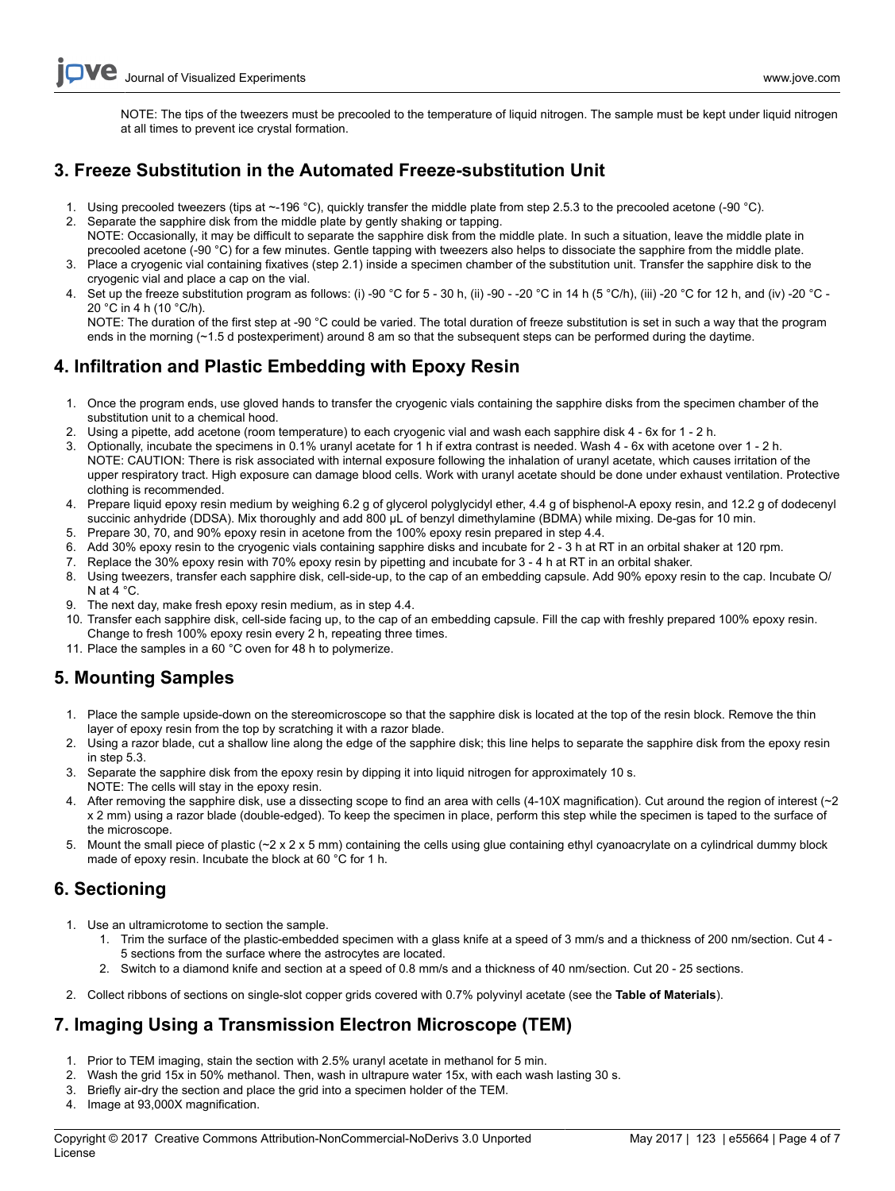NOTE: The tips of the tweezers must be precooled to the temperature of liquid nitrogen. The sample must be kept under liquid nitrogen at all times to prevent ice crystal formation.

# **3. Freeze Substitution in the Automated Freeze-substitution Unit**

- 1. Using precooled tweezers (tips at ~-196 °C), quickly transfer the middle plate from step 2.5.3 to the precooled acetone (-90 °C).
- 2. Separate the sapphire disk from the middle plate by gently shaking or tapping. NOTE: Occasionally, it may be difficult to separate the sapphire disk from the middle plate. In such a situation, leave the middle plate in
- precooled acetone (-90 °C) for a few minutes. Gentle tapping with tweezers also helps to dissociate the sapphire from the middle plate. 3. Place a cryogenic vial containing fixatives (step 2.1) inside a specimen chamber of the substitution unit. Transfer the sapphire disk to the cryogenic vial and place a cap on the vial.
- 4. Set up the freeze substitution program as follows: (i) -90 °C for 5 30 h, (ii) -90 -20 °C in 14 h (5 °C/h), (iii) -20 °C for 12 h, and (iv) -20 °C -20 °C in 4 h (10 °C/h).

NOTE: The duration of the first step at -90 °C could be varied. The total duration of freeze substitution is set in such a way that the program ends in the morning (~1.5 d postexperiment) around 8 am so that the subsequent steps can be performed during the daytime.

# **4. Infiltration and Plastic Embedding with Epoxy Resin**

- 1. Once the program ends, use gloved hands to transfer the cryogenic vials containing the sapphire disks from the specimen chamber of the substitution unit to a chemical hood.
- 2. Using a pipette, add acetone (room temperature) to each cryogenic vial and wash each sapphire disk 4 6x for 1 2 h.
- 3. Optionally, incubate the specimens in 0.1% uranyl acetate for 1 h if extra contrast is needed. Wash 4 6x with acetone over 1 2 h. NOTE: CAUTION: There is risk associated with internal exposure following the inhalation of uranyl acetate, which causes irritation of the upper respiratory tract. High exposure can damage blood cells. Work with uranyl acetate should be done under exhaust ventilation. Protective clothing is recommended.
- 4. Prepare liquid epoxy resin medium by weighing 6.2 g of glycerol polyglycidyl ether, 4.4 g of bisphenol-A epoxy resin, and 12.2 g of dodecenyl succinic anhydride (DDSA). Mix thoroughly and add 800 µL of benzyl dimethylamine (BDMA) while mixing. De-gas for 10 min.
- 5. Prepare 30, 70, and 90% epoxy resin in acetone from the 100% epoxy resin prepared in step 4.4.
- 6. Add 30% epoxy resin to the cryogenic vials containing sapphire disks and incubate for 2 3 h at RT in an orbital shaker at 120 rpm.
- 7. Replace the 30% epoxy resin with 70% epoxy resin by pipetting and incubate for 3 4 h at RT in an orbital shaker.
- 8. Using tweezers, transfer each sapphire disk, cell-side-up, to the cap of an embedding capsule. Add 90% epoxy resin to the cap. Incubate O/ N at 4 °C.
- 9. The next day, make fresh epoxy resin medium, as in step 4.4.
- 10. Transfer each sapphire disk, cell-side facing up, to the cap of an embedding capsule. Fill the cap with freshly prepared 100% epoxy resin. Change to fresh 100% epoxy resin every 2 h, repeating three times.
- 11. Place the samples in a 60 °C oven for 48 h to polymerize.

# **5. Mounting Samples**

- 1. Place the sample upside-down on the stereomicroscope so that the sapphire disk is located at the top of the resin block. Remove the thin layer of epoxy resin from the top by scratching it with a razor blade.
- 2. Using a razor blade, cut a shallow line along the edge of the sapphire disk; this line helps to separate the sapphire disk from the epoxy resin in step 5.3.
- 3. Separate the sapphire disk from the epoxy resin by dipping it into liquid nitrogen for approximately 10 s. NOTE: The cells will stay in the epoxy resin.
- 4. After removing the sapphire disk, use a dissecting scope to find an area with cells (4-10X magnification). Cut around the region of interest (~2 x 2 mm) using a razor blade (double-edged). To keep the specimen in place, perform this step while the specimen is taped to the surface of the microscope.
- 5. Mount the small piece of plastic (~2 x 2 x 5 mm) containing the cells using glue containing ethyl cyanoacrylate on a cylindrical dummy block made of epoxy resin. Incubate the block at 60 °C for 1 h.

# **6. Sectioning**

- 1. Use an ultramicrotome to section the sample.
	- 1. Trim the surface of the plastic-embedded specimen with a glass knife at a speed of 3 mm/s and a thickness of 200 nm/section. Cut 4 5 sections from the surface where the astrocytes are located.
	- 2. Switch to a diamond knife and section at a speed of 0.8 mm/s and a thickness of 40 nm/section. Cut 20 25 sections.
- 2. Collect ribbons of sections on single-slot copper grids covered with 0.7% polyvinyl acetate (see the **Table of Materials**).

# **7. Imaging Using a Transmission Electron Microscope (TEM)**

- 1. Prior to TEM imaging, stain the section with 2.5% uranyl acetate in methanol for 5 min.
- 2. Wash the grid 15x in 50% methanol. Then, wash in ultrapure water 15x, with each wash lasting 30 s.
- 3. Briefly air-dry the section and place the grid into a specimen holder of the TEM.
- 4. Image at 93,000X magnification.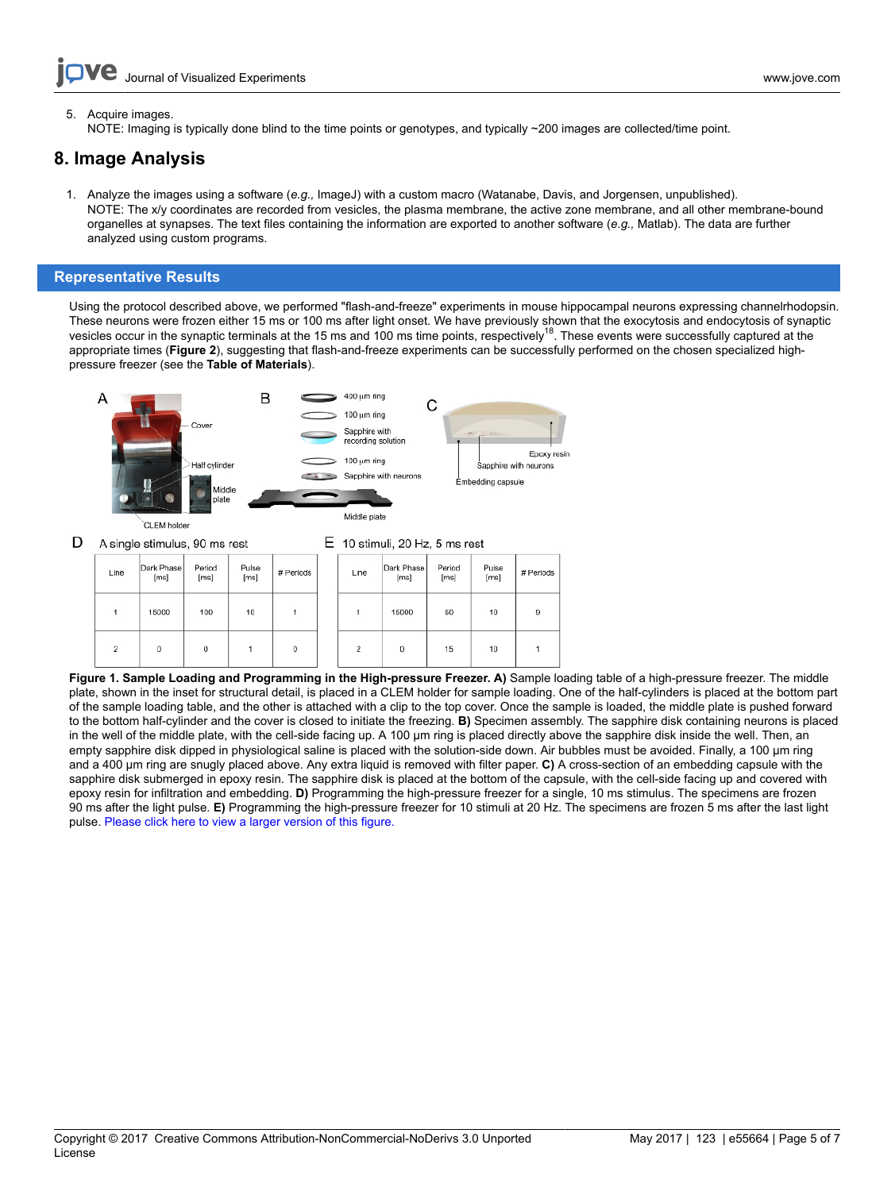5. Acquire images.

NOTE: Imaging is typically done blind to the time points or genotypes, and typically ~200 images are collected/time point.

## **8. Image Analysis**

1. Analyze the images using a software (*e.g.,* ImageJ) with a custom macro (Watanabe, Davis, and Jorgensen, unpublished). NOTE: The x/y coordinates are recorded from vesicles, the plasma membrane, the active zone membrane, and all other membrane-bound organelles at synapses. The text files containing the information are exported to another software (*e.g.,* Matlab). The data are further analyzed using custom programs.

### **Representative Results**

Using the protocol described above, we performed "flash-and-freeze" experiments in mouse hippocampal neurons expressing channelrhodopsin. These neurons were frozen either 15 ms or 100 ms after light onset. We have previously shown that the exocytosis and endocytosis of synaptic vesicles occur in the synaptic terminals at the 15 ms and 100 ms time points, respectively<sup>18</sup>. These events were successfully captured at the appropriate times (**Figure 2**), suggesting that flash-and-freeze experiments can be successfully performed on the chosen specialized highpressure freezer (see the **Table of Materials**).



**Figure 1. Sample Loading and Programming in the High-pressure Freezer. A)** Sample loading table of a high-pressure freezer. The middle plate, shown in the inset for structural detail, is placed in a CLEM holder for sample loading. One of the half-cylinders is placed at the bottom part of the sample loading table, and the other is attached with a clip to the top cover. Once the sample is loaded, the middle plate is pushed forward to the bottom half-cylinder and the cover is closed to initiate the freezing. **B)** Specimen assembly. The sapphire disk containing neurons is placed in the well of the middle plate, with the cell-side facing up. A 100 µm ring is placed directly above the sapphire disk inside the well. Then, an empty sapphire disk dipped in physiological saline is placed with the solution-side down. Air bubbles must be avoided. Finally, a 100 µm ring and a 400 µm ring are snugly placed above. Any extra liquid is removed with filter paper. **C)** A cross-section of an embedding capsule with the sapphire disk submerged in epoxy resin. The sapphire disk is placed at the bottom of the capsule, with the cell-side facing up and covered with epoxy resin for infiltration and embedding. **D)** Programming the high-pressure freezer for a single, 10 ms stimulus. The specimens are frozen 90 ms after the light pulse. **E)** Programming the high-pressure freezer for 10 stimuli at 20 Hz. The specimens are frozen 5 ms after the last light pulse. [Please click here to view a larger version of this figure.](http://ecsource.jove.com/files/ftp_upload/55664/55664fig1large.jpg)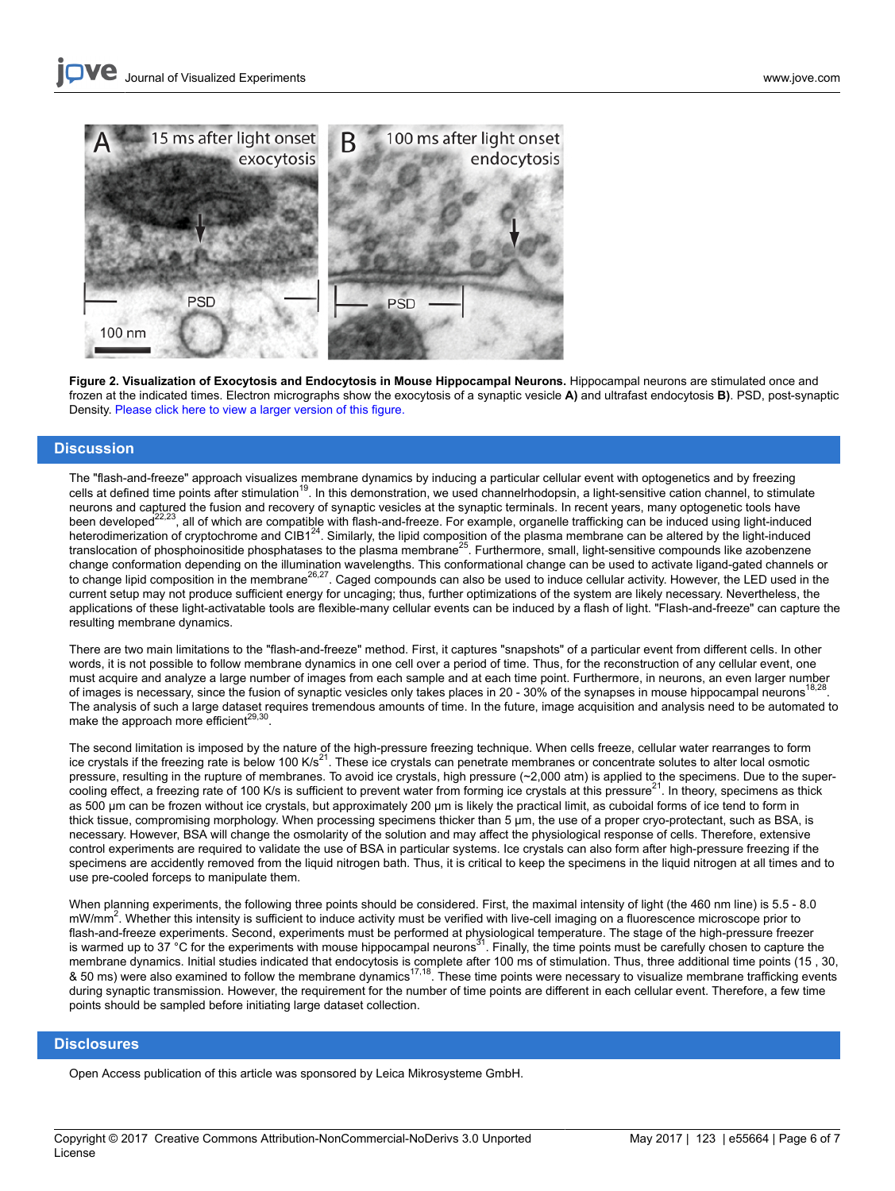

**Figure 2. Visualization of Exocytosis and Endocytosis in Mouse Hippocampal Neurons.** Hippocampal neurons are stimulated once and frozen at the indicated times. Electron micrographs show the exocytosis of a synaptic vesicle **A)** and ultrafast endocytosis **B)**. PSD, post-synaptic Density. [Please click here to view a larger version of this figure.](http://ecsource.jove.com/files/ftp_upload/55664/55664fig2large.jpg)

#### **Discussion**

The "flash-and-freeze" approach visualizes membrane dynamics by inducing a particular cellular event with optogenetics and by freezing cells at defined time points after stimulation<sup>19</sup>. In this demonstration, we used channelrhodopsin, a light-sensitive cation channel, to stimulate neurons and captured the fusion and recovery of synaptic vesicles at the synaptic terminals. In recent years, many optogenetic tools have been developed<sup>22,23</sup>, all of which are compatible with flash-and-freeze. For example, organelle trafficking can be induced using light-induced heterodimerization of cryptochrome and CIB1<sup>24</sup>. Similarly, the lipid composition of the plasma membrane can be altered by the light-induced translocation of phosphoinositide phosphatases to the plasma membrane<sup>25</sup>. Furthermore, small, light-sensitive compounds like azobenzene change conformation depending on the illumination wavelengths. This conformational change can be used to activate ligand-gated channels or<br>to change lipid composition in the membrane<sup>26,27</sup>. Caged compounds can also be use current setup may not produce sufficient energy for uncaging; thus, further optimizations of the system are likely necessary. Nevertheless, the applications of these light-activatable tools are flexible-many cellular events can be induced by a flash of light. "Flash-and-freeze" can capture the resulting membrane dynamics.

There are two main limitations to the "flash-and-freeze" method. First, it captures "snapshots" of a particular event from different cells. In other words, it is not possible to follow membrane dynamics in one cell over a period of time. Thus, for the reconstruction of any cellular event, one must acquire and analyze a large number of images from each sample and at each time point. Furthermore, in neurons, an even larger number of images is necessary, since the fusion of synaptic vesicles only takes places in 20 - 30% of the synapses in mouse hippocampal neurons<sup>18,28</sup>. The analysis of such a large dataset requires tremendous amounts of time. In the future, image acquisition and analysis need to be automated to make the approach more efficient<sup>29,30</sup>.

The second limitation is imposed by the nature of the high-pressure freezing technique. When cells freeze, cellular water rearranges to form<br>ice crystals if the freezing rate is below 100 K/s<sup>21</sup>. These ice crystals can pe pressure, resulting in the rupture of membranes. To avoid ice crystals, high pressure (~2,000 atm) is applied to the specimens. Due to the supercooling effect, a freezing rate of 100 K/s is sufficient to prevent water from forming ice crystals at this pressure<sup>21</sup>. In theory, specimens as thick as 500 µm can be frozen without ice crystals, but approximately 200 µm is likely the practical limit, as cuboidal forms of ice tend to form in thick tissue, compromising morphology. When processing specimens thicker than 5 µm, the use of a proper cryo-protectant, such as BSA, is necessary. However, BSA will change the osmolarity of the solution and may affect the physiological response of cells. Therefore, extensive control experiments are required to validate the use of BSA in particular systems. Ice crystals can also form after high-pressure freezing if the specimens are accidently removed from the liquid nitrogen bath. Thus, it is critical to keep the specimens in the liquid nitrogen at all times and to use pre-cooled forceps to manipulate them.

When planning experiments, the following three points should be considered. First, the maximal intensity of light (the 460 nm line) is 5.5 - 8.0 mW/mm<sup>2</sup>. Whether this intensity is sufficient to induce activity must be verified with live-cell imaging on a fluorescence microscope prior to flash-and-freeze experiments. Second, experiments must be performed at physiological temperature. The stage of the high-pressure freezer is warmed up to 37 °C for the experiments with mouse hippocampal neurons<sup>31</sup>. Finally, the time points must be carefully chosen to capture the membrane dynamics. Initial studies indicated that endocytosis is complete after 100 ms of stimulation. Thus, three additional time points (15 , 30,<br>& 50 ms) were also examined to follow the membrane dynamics<sup>17,18</sup>. These during synaptic transmission. However, the requirement for the number of time points are different in each cellular event. Therefore, a few time points should be sampled before initiating large dataset collection.

### **Disclosures**

Open Access publication of this article was sponsored by Leica Mikrosysteme GmbH.